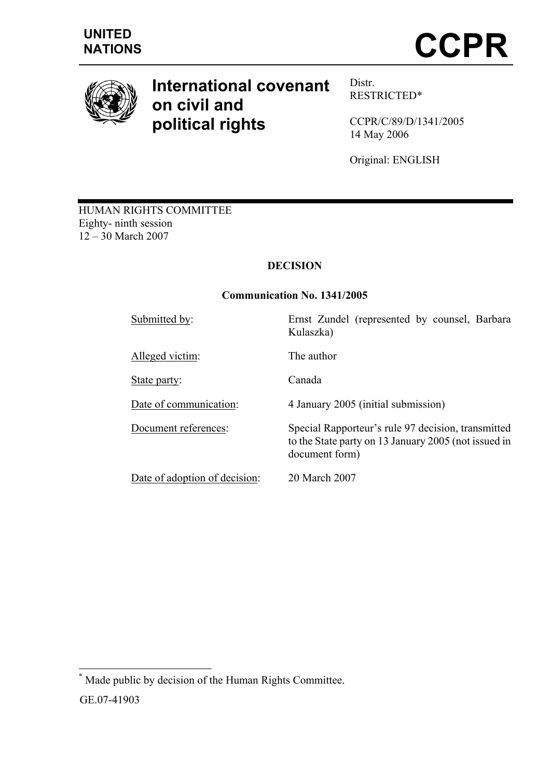

# **International covenant on civil and political rights**

Distr. RESTRICTED\*

CCPR/C/89/D/1341/2005 14 May 2006

Original: ENGLISH

HUMAN RIGHTS COMMITTEE Eighty- ninth session 12 – 30 March 2007

# **DECISION**

#### **Communication No. 1341/2005**

l \* Made public by decision of the Human Rights Committee.

GE.07-41903

Submitted by: Ernst Zundel (represented by counsel, Barbara Kulaszka) Alleged victim: The author State party: Canada

Date of communication: 4 January 2005 (initial submission)

Document references: Special Rapporteur's rule 97 decision, transmitted to the State party on 13 January 2005 (not issued in document form)

Date of adoption of decision: 20 March 2007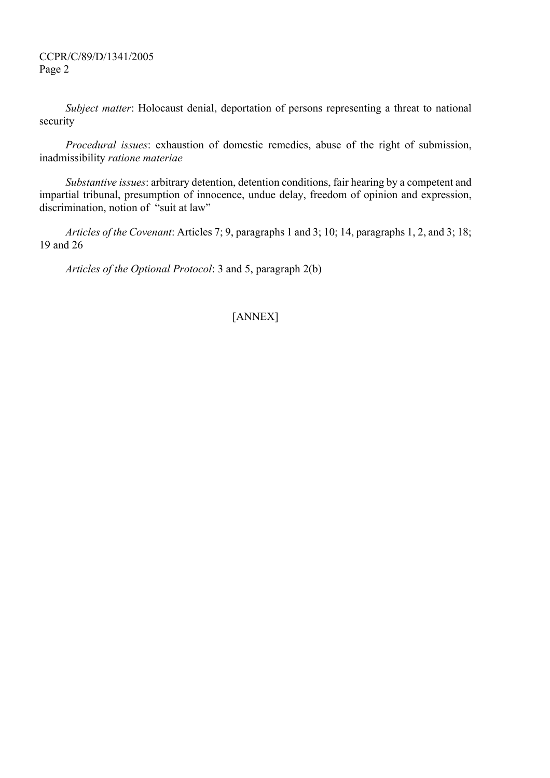*Subject matter*: Holocaust denial, deportation of persons representing a threat to national security

*Procedural issues*: exhaustion of domestic remedies, abuse of the right of submission, inadmissibility *ratione materiae*

*Substantive issues*: arbitrary detention, detention conditions, fair hearing by a competent and impartial tribunal, presumption of innocence, undue delay, freedom of opinion and expression, discrimination, notion of "suit at law"

*Articles of the Covenant*: Articles 7; 9, paragraphs 1 and 3; 10; 14, paragraphs 1, 2, and 3; 18; 19 and 26

*Articles of the Optional Protocol*: 3 and 5, paragraph 2(b)

## [ANNEX]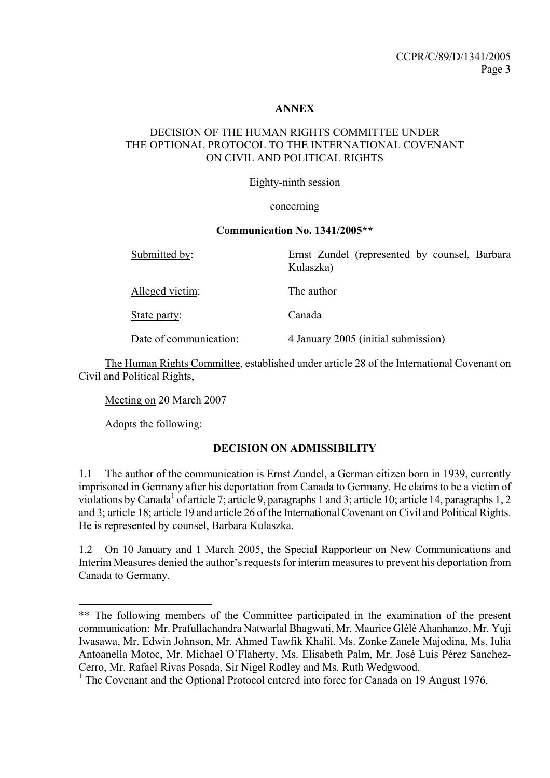#### **ANNEX**

#### DECISION OF THE HUMAN RIGHTS COMMITTEE UNDER THE OPTIONAL PROTOCOL TO THE INTERNATIONAL COVENANT ON CIVIL AND POLITICAL RIGHTS

Eighty-ninth session

#### concerning

#### **Communication No. 1341/2005\*\***

| Submitted by:          | Ernst Zundel (represented by counsel, Barbara<br>Kulaszka) |
|------------------------|------------------------------------------------------------|
| Alleged victim:        | The author                                                 |
| State party:           | Canada                                                     |
| Date of communication: | 4 January 2005 (initial submission)                        |

 The Human Rights Committee, established under article 28 of the International Covenant on Civil and Political Rights,

Meeting on 20 March 2007

Adopts the following:

l

### **DECISION ON ADMISSIBILITY**

1.1 The author of the communication is Ernst Zundel, a German citizen born in 1939, currently imprisoned in Germany after his deportation from Canada to Germany. He claims to be a victim of violations by Canada<sup>1</sup> of article 7; article 9, paragraphs 1 and 3; article 10; article 14, paragraphs 1, 2 and 3; article 18; article 19 and article 26 of the International Covenant on Civil and Political Rights. He is represented by counsel, Barbara Kulaszka.

1.2 On 10 January and 1 March 2005, the Special Rapporteur on New Communications and Interim Measures denied the author's requests for interim measures to prevent his deportation from Canada to Germany.

<sup>\*\*</sup> The following members of the Committee participated in the examination of the present communication: Mr. Prafullachandra Natwarlal Bhagwati, Mr. Maurice Glèlè Ahanhanzo, Mr. Yuji Iwasawa, Mr. Edwin Johnson, Mr. Ahmed Tawfik Khalil, Ms. Zonke Zanele Majodina, Ms. Iulia Antoanella Motoc, Mr. Michael O'Flaherty, Ms. Elisabeth Palm, Mr. José Luis Pérez Sanchez-Cerro, Mr. Rafael Rivas Posada, Sir Nigel Rodley and Ms. Ruth Wedgwood.

<sup>&</sup>lt;sup>1</sup> The Covenant and the Optional Protocol entered into force for Canada on 19 August 1976.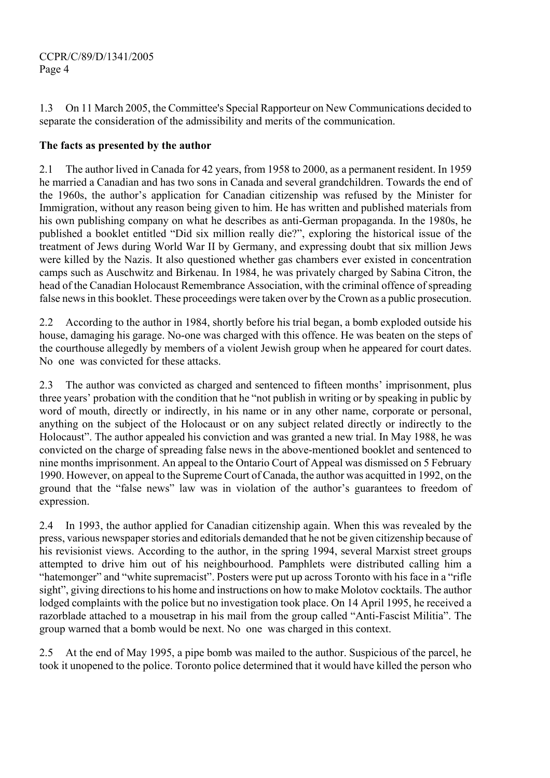1.3 On 11 March 2005, the Committee's Special Rapporteur on New Communications decided to separate the consideration of the admissibility and merits of the communication.

# **The facts as presented by the author**

2.1 The author lived in Canada for 42 years, from 1958 to 2000, as a permanent resident. In 1959 he married a Canadian and has two sons in Canada and several grandchildren. Towards the end of the 1960s, the author's application for Canadian citizenship was refused by the Minister for Immigration, without any reason being given to him. He has written and published materials from his own publishing company on what he describes as anti-German propaganda. In the 1980s, he published a booklet entitled "Did six million really die?", exploring the historical issue of the treatment of Jews during World War II by Germany, and expressing doubt that six million Jews were killed by the Nazis. It also questioned whether gas chambers ever existed in concentration camps such as Auschwitz and Birkenau. In 1984, he was privately charged by Sabina Citron, the head of the Canadian Holocaust Remembrance Association, with the criminal offence of spreading false news in this booklet. These proceedings were taken over by the Crown as a public prosecution.

2.2 According to the author in 1984, shortly before his trial began, a bomb exploded outside his house, damaging his garage. No-one was charged with this offence. He was beaten on the steps of the courthouse allegedly by members of a violent Jewish group when he appeared for court dates. No one was convicted for these attacks.

2.3 The author was convicted as charged and sentenced to fifteen months' imprisonment, plus three years' probation with the condition that he "not publish in writing or by speaking in public by word of mouth, directly or indirectly, in his name or in any other name, corporate or personal, anything on the subject of the Holocaust or on any subject related directly or indirectly to the Holocaust". The author appealed his conviction and was granted a new trial. In May 1988, he was convicted on the charge of spreading false news in the above-mentioned booklet and sentenced to nine months imprisonment. An appeal to the Ontario Court of Appeal was dismissed on 5 February 1990. However, on appeal to the Supreme Court of Canada, the author was acquitted in 1992, on the ground that the "false news" law was in violation of the author's guarantees to freedom of expression.

2.4 In 1993, the author applied for Canadian citizenship again. When this was revealed by the press, various newspaper stories and editorials demanded that he not be given citizenship because of his revisionist views. According to the author, in the spring 1994, several Marxist street groups attempted to drive him out of his neighbourhood. Pamphlets were distributed calling him a "hatemonger" and "white supremacist". Posters were put up across Toronto with his face in a "rifle sight", giving directions to his home and instructions on how to make Molotov cocktails. The author lodged complaints with the police but no investigation took place. On 14 April 1995, he received a razorblade attached to a mousetrap in his mail from the group called "Anti-Fascist Militia". The group warned that a bomb would be next. No one was charged in this context.

2.5 At the end of May 1995, a pipe bomb was mailed to the author. Suspicious of the parcel, he took it unopened to the police. Toronto police determined that it would have killed the person who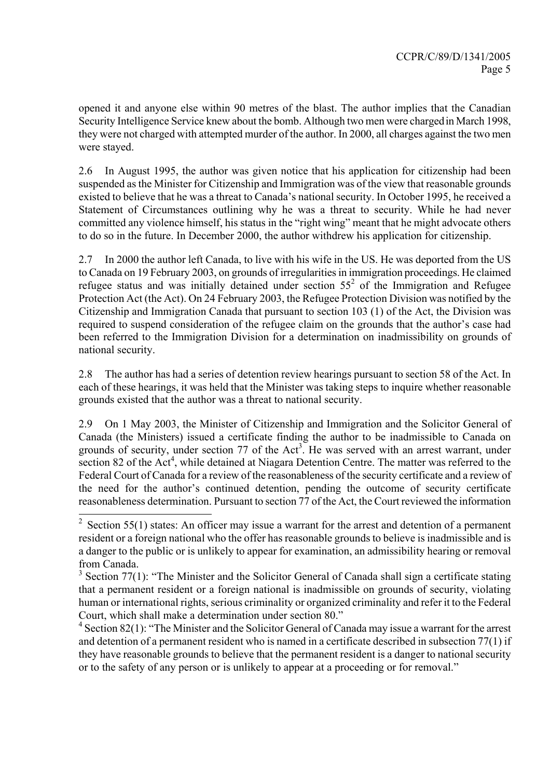opened it and anyone else within 90 metres of the blast. The author implies that the Canadian Security Intelligence Service knew about the bomb. Although two men were chargedin March 1998, they were not charged with attempted murder of the author. In 2000, all charges against the two men were stayed.

2.6 In August 1995, the author was given notice that his application for citizenship had been suspended as the Minister for Citizenship and Immigration was of the view that reasonable grounds existed to believe that he was a threat to Canada's national security. In October 1995, he received a Statement of Circumstances outlining why he was a threat to security. While he had never committed any violence himself, his status in the "right wing" meant that he might advocate others to do so in the future. In December 2000, the author withdrew his application for citizenship.

2.7 In 2000 the author left Canada, to live with his wife in the US. He was deported from the US to Canada on 19 February 2003, on grounds of irregularities in immigration proceedings. He claimed refugee status and was initially detained under section  $55<sup>2</sup>$  of the Immigration and Refugee Protection Act (the Act). On 24 February 2003, the Refugee Protection Division was notified by the Citizenship and Immigration Canada that pursuant to section 103 (1) of the Act, the Division was required to suspend consideration of the refugee claim on the grounds that the author's case had been referred to the Immigration Division for a determination on inadmissibility on grounds of national security.

2.8 The author has had a series of detention review hearings pursuant to section 58 of the Act. In each of these hearings, it was held that the Minister was taking steps to inquire whether reasonable grounds existed that the author was a threat to national security.

2.9 On 1 May 2003, the Minister of Citizenship and Immigration and the Solicitor General of Canada (the Ministers) issued a certificate finding the author to be inadmissible to Canada on grounds of security, under section 77 of the  $Act^3$ . He was served with an arrest warrant, under section 82 of the Act<sup>4</sup>, while detained at Niagara Detention Centre. The matter was referred to the Federal Court of Canada for a review of the reasonableness of the security certificate and a review of the need for the author's continued detention, pending the outcome of security certificate reasonableness determination. Pursuant to section 77 of the Act, the Court reviewed the information

l

 $4$  Section 82(1): "The Minister and the Solicitor General of Canada may issue a warrant for the arrest and detention of a permanent resident who is named in a certificate described in subsection 77(1) if they have reasonable grounds to believe that the permanent resident is a danger to national security or to the safety of any person or is unlikely to appear at a proceeding or for removal."

<sup>&</sup>lt;sup>2</sup> Section 55(1) states: An officer may issue a warrant for the arrest and detention of a permanent resident or a foreign national who the offer has reasonable grounds to believe is inadmissible and is a danger to the public or is unlikely to appear for examination, an admissibility hearing or removal from Canada.

 $3$  Section 77(1): "The Minister and the Solicitor General of Canada shall sign a certificate stating that a permanent resident or a foreign national is inadmissible on grounds of security, violating human or international rights, serious criminality or organized criminality and refer it to the Federal Court, which shall make a determination under section 80."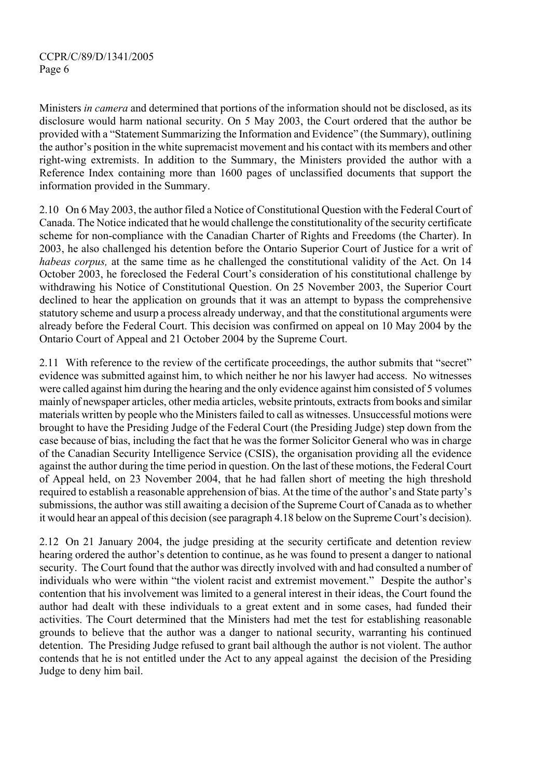Ministers *in camera* and determined that portions of the information should not be disclosed, as its disclosure would harm national security. On 5 May 2003, the Court ordered that the author be provided with a "Statement Summarizing the Information and Evidence" (the Summary), outlining the author's position in the white supremacist movement and his contact with its members and other right-wing extremists. In addition to the Summary, the Ministers provided the author with a Reference Index containing more than 1600 pages of unclassified documents that support the information provided in the Summary.

2.10 On 6 May 2003, the author filed a Notice of Constitutional Question with the Federal Court of Canada. The Notice indicated that he would challenge the constitutionality of the security certificate scheme for non-compliance with the Canadian Charter of Rights and Freedoms (the Charter). In 2003, he also challenged his detention before the Ontario Superior Court of Justice for a writ of *habeas corpus,* at the same time as he challenged the constitutional validity of the Act. On 14 October 2003, he foreclosed the Federal Court's consideration of his constitutional challenge by withdrawing his Notice of Constitutional Question. On 25 November 2003, the Superior Court declined to hear the application on grounds that it was an attempt to bypass the comprehensive statutory scheme and usurp a process already underway, and that the constitutional arguments were already before the Federal Court. This decision was confirmed on appeal on 10 May 2004 by the Ontario Court of Appeal and 21 October 2004 by the Supreme Court.

2.11 With reference to the review of the certificate proceedings, the author submits that "secret" evidence was submitted against him, to which neither he nor his lawyer had access. No witnesses were called against him during the hearing and the only evidence against him consisted of 5 volumes mainly of newspaper articles, other media articles, website printouts, extracts from books and similar materials written by people who the Ministers failed to call as witnesses. Unsuccessful motions were brought to have the Presiding Judge of the Federal Court (the Presiding Judge) step down from the case because of bias, including the fact that he was the former Solicitor General who was in charge of the Canadian Security Intelligence Service (CSIS), the organisation providing all the evidence against the author during the time period in question. On the last of these motions, the Federal Court of Appeal held, on 23 November 2004, that he had fallen short of meeting the high threshold required to establish a reasonable apprehension of bias. At the time of the author's and State party's submissions, the author was still awaiting a decision of the Supreme Court of Canada as to whether it would hear an appeal of this decision (see paragraph 4.18 below on the Supreme Court's decision).

2.12 On 21 January 2004, the judge presiding at the security certificate and detention review hearing ordered the author's detention to continue, as he was found to present a danger to national security. The Court found that the author was directly involved with and had consulted a number of individuals who were within "the violent racist and extremist movement." Despite the author's contention that his involvement was limited to a general interest in their ideas, the Court found the author had dealt with these individuals to a great extent and in some cases, had funded their activities. The Court determined that the Ministers had met the test for establishing reasonable grounds to believe that the author was a danger to national security, warranting his continued detention. The Presiding Judge refused to grant bail although the author is not violent. The author contends that he is not entitled under the Act to any appeal against the decision of the Presiding Judge to deny him bail.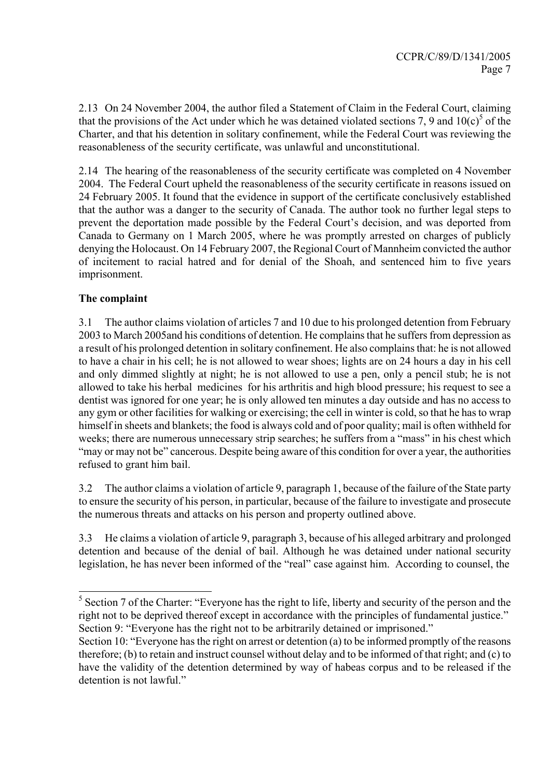2.13 On 24 November 2004, the author filed a Statement of Claim in the Federal Court, claiming that the provisions of the Act under which he was detained violated sections 7, 9 and  $10(c)^5$  of the Charter, and that his detention in solitary confinement, while the Federal Court was reviewing the reasonableness of the security certificate, was unlawful and unconstitutional.

2.14 The hearing of the reasonableness of the security certificate was completed on 4 November 2004. The Federal Court upheld the reasonableness of the security certificate in reasons issued on 24 February 2005. It found that the evidence in support of the certificate conclusively established that the author was a danger to the security of Canada. The author took no further legal steps to prevent the deportation made possible by the Federal Court's decision, and was deported from Canada to Germany on 1 March 2005, where he was promptly arrested on charges of publicly denying the Holocaust. On 14 February 2007, the Regional Court of Mannheim convicted the author of incitement to racial hatred and for denial of the Shoah, and sentenced him to five years imprisonment.

## **The complaint**

l

3.1 The author claims violation of articles 7 and 10 due to his prolonged detention from February 2003 to March 2005and his conditions of detention. He complains that he suffers from depression as a result of his prolonged detention in solitary confinement. He also complains that: he is not allowed to have a chair in his cell; he is not allowed to wear shoes; lights are on 24 hours a day in his cell and only dimmed slightly at night; he is not allowed to use a pen, only a pencil stub; he is not allowed to take his herbal medicines for his arthritis and high blood pressure; his request to see a dentist was ignored for one year; he is only allowed ten minutes a day outside and has no access to any gym or other facilities for walking or exercising; the cell in winter is cold, so that he has to wrap himself in sheets and blankets; the food is always cold and of poor quality; mail is often withheld for weeks; there are numerous unnecessary strip searches; he suffers from a "mass" in his chest which "may or may not be" cancerous. Despite being aware of this condition for over a year, the authorities refused to grant him bail.

3.2 The author claims a violation of article 9, paragraph 1, because of the failure of the State party to ensure the security of his person, in particular, because of the failure to investigate and prosecute the numerous threats and attacks on his person and property outlined above.

3.3 He claims a violation of article 9, paragraph 3, because of his alleged arbitrary and prolonged detention and because of the denial of bail. Although he was detained under national security legislation, he has never been informed of the "real" case against him. According to counsel, the

 $<sup>5</sup>$  Section 7 of the Charter: "Everyone has the right to life, liberty and security of the person and the</sup> right not to be deprived thereof except in accordance with the principles of fundamental justice." Section 9: "Everyone has the right not to be arbitrarily detained or imprisoned."

Section 10: "Everyone has the right on arrest or detention (a) to be informed promptly of the reasons therefore; (b) to retain and instruct counsel without delay and to be informed of that right; and (c) to have the validity of the detention determined by way of habeas corpus and to be released if the detention is not lawful."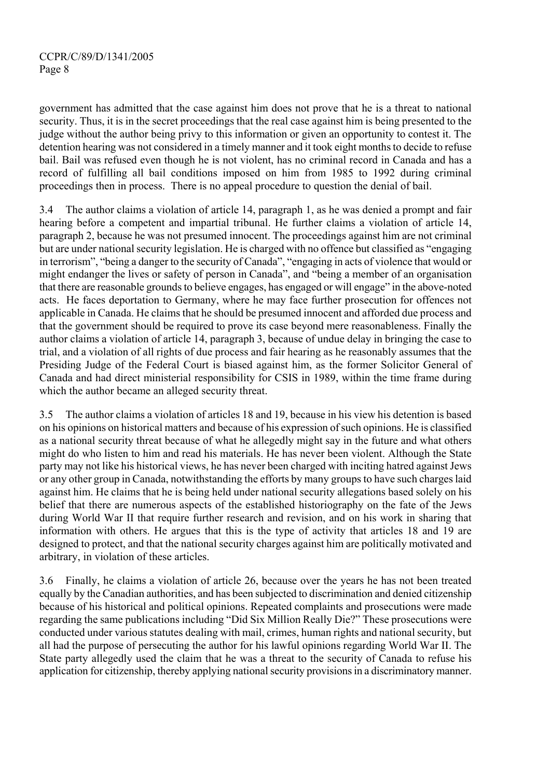government has admitted that the case against him does not prove that he is a threat to national security. Thus, it is in the secret proceedings that the real case against him is being presented to the judge without the author being privy to this information or given an opportunity to contest it. The detention hearing was not considered in a timely manner and it took eight months to decide to refuse bail. Bail was refused even though he is not violent, has no criminal record in Canada and has a record of fulfilling all bail conditions imposed on him from 1985 to 1992 during criminal proceedings then in process. There is no appeal procedure to question the denial of bail.

3.4 The author claims a violation of article 14, paragraph 1, as he was denied a prompt and fair hearing before a competent and impartial tribunal. He further claims a violation of article 14, paragraph 2, because he was not presumed innocent. The proceedings against him are not criminal but are under national security legislation. He is charged with no offence but classified as "engaging in terrorism", "being a danger to the security of Canada", "engaging in acts of violence that would or might endanger the lives or safety of person in Canada", and "being a member of an organisation that there are reasonable grounds to believe engages, has engaged or will engage" in the above-noted acts. He faces deportation to Germany, where he may face further prosecution for offences not applicable in Canada. He claims that he should be presumed innocent and afforded due process and that the government should be required to prove its case beyond mere reasonableness. Finally the author claims a violation of article 14, paragraph 3, because of undue delay in bringing the case to trial, and a violation of all rights of due process and fair hearing as he reasonably assumes that the Presiding Judge of the Federal Court is biased against him, as the former Solicitor General of Canada and had direct ministerial responsibility for CSIS in 1989, within the time frame during which the author became an alleged security threat.

3.5 The author claims a violation of articles 18 and 19, because in his view his detention is based on his opinions on historical matters and because of his expression of such opinions. He is classified as a national security threat because of what he allegedly might say in the future and what others might do who listen to him and read his materials. He has never been violent. Although the State party may not like his historical views, he has never been charged with inciting hatred against Jews or any other group in Canada, notwithstanding the efforts by many groups to have such charges laid against him. He claims that he is being held under national security allegations based solely on his belief that there are numerous aspects of the established historiography on the fate of the Jews during World War II that require further research and revision, and on his work in sharing that information with others. He argues that this is the type of activity that articles 18 and 19 are designed to protect, and that the national security charges against him are politically motivated and arbitrary, in violation of these articles.

3.6 Finally, he claims a violation of article 26, because over the years he has not been treated equally by the Canadian authorities, and has been subjected to discrimination and denied citizenship because of his historical and political opinions. Repeated complaints and prosecutions were made regarding the same publications including "Did Six Million Really Die?" These prosecutions were conducted under various statutes dealing with mail, crimes, human rights and national security, but all had the purpose of persecuting the author for his lawful opinions regarding World War II. The State party allegedly used the claim that he was a threat to the security of Canada to refuse his application for citizenship, thereby applying national security provisions in a discriminatory manner.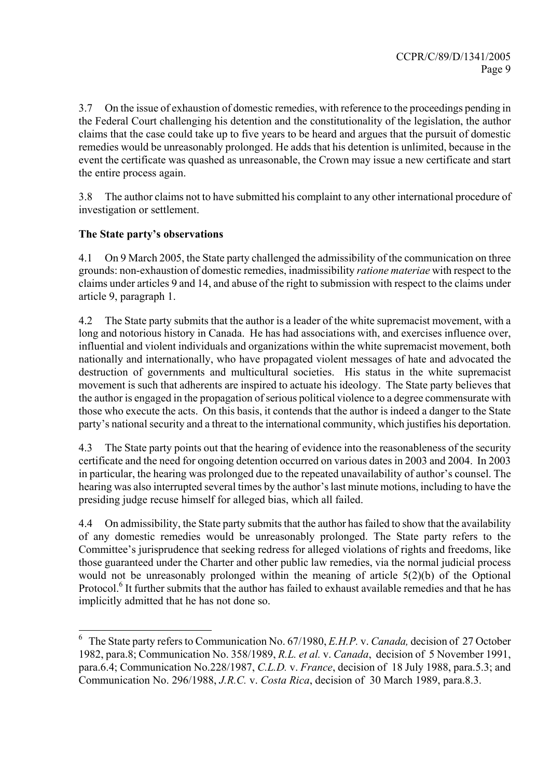3.7 On the issue of exhaustion of domestic remedies, with reference to the proceedings pending in the Federal Court challenging his detention and the constitutionality of the legislation, the author claims that the case could take up to five years to be heard and argues that the pursuit of domestic remedies would be unreasonably prolonged. He adds that his detention is unlimited, because in the event the certificate was quashed as unreasonable, the Crown may issue a new certificate and start the entire process again.

3.8 The author claims not to have submitted his complaint to any other international procedure of investigation or settlement.

# **The State party's observations**

l

4.1 On 9 March 2005, the State party challenged the admissibility of the communication on three grounds: non-exhaustion of domestic remedies, inadmissibility *ratione materiae* with respect to the claims under articles 9 and 14, and abuse of the right to submission with respect to the claims under article 9, paragraph 1.

4.2 The State party submits that the author is a leader of the white supremacist movement, with a long and notorious history in Canada. He has had associations with, and exercises influence over, influential and violent individuals and organizations within the white supremacist movement, both nationally and internationally, who have propagated violent messages of hate and advocated the destruction of governments and multicultural societies. His status in the white supremacist movement is such that adherents are inspired to actuate his ideology. The State party believes that the author is engaged in the propagation of serious political violence to a degree commensurate with those who execute the acts. On this basis, it contends that the author is indeed a danger to the State party's national security and a threat to the international community, which justifies his deportation.

4.3 The State party points out that the hearing of evidence into the reasonableness of the security certificate and the need for ongoing detention occurred on various dates in 2003 and 2004. In 2003 in particular, the hearing was prolonged due to the repeated unavailability of author's counsel. The hearing was also interrupted several times by the author's last minute motions, including to have the presiding judge recuse himself for alleged bias, which all failed.

4.4 On admissibility, the State party submits that the author has failed to show that the availability of any domestic remedies would be unreasonably prolonged. The State party refers to the Committee's jurisprudence that seeking redress for alleged violations of rights and freedoms, like those guaranteed under the Charter and other public law remedies, via the normal judicial process would not be unreasonably prolonged within the meaning of article 5(2)(b) of the Optional Protocol.<sup>6</sup> It further submits that the author has failed to exhaust available remedies and that he has implicitly admitted that he has not done so.

<sup>6</sup> The State party refers to Communication No. 67/1980, *E.H.P.* v. *Canada,* decision of 27 October 1982, para.8; Communication No. 358/1989, *R.L. et al.* v. *Canada*, decision of 5 November 1991, para.6.4; Communication No.228/1987, *C.L.D.* v. *France*, decision of 18 July 1988, para.5.3; and Communication No. 296/1988, *J.R.C.* v. *Costa Rica*, decision of 30 March 1989, para.8.3.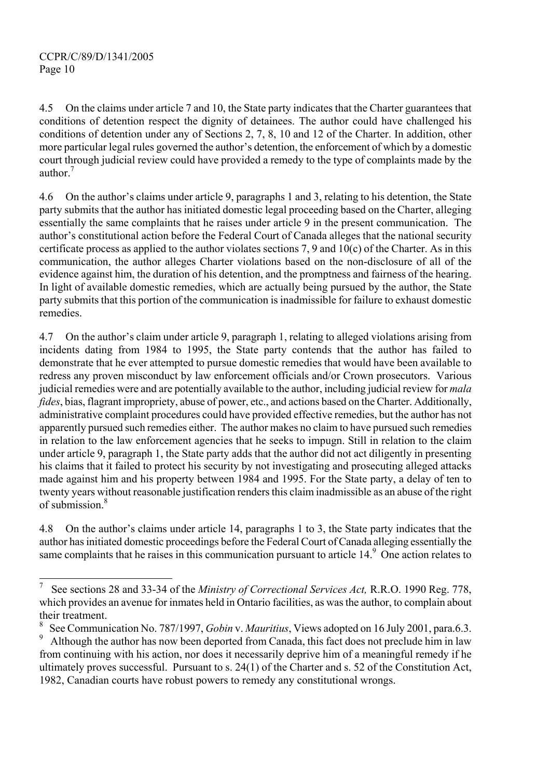l

4.5 On the claims under article 7 and 10, the State party indicates that the Charter guarantees that conditions of detention respect the dignity of detainees. The author could have challenged his conditions of detention under any of Sections 2, 7, 8, 10 and 12 of the Charter. In addition, other more particular legal rules governed the author's detention, the enforcement of which by a domestic court through judicial review could have provided a remedy to the type of complaints made by the author.<sup>7</sup>

4.6 On the author's claims under article 9, paragraphs 1 and 3, relating to his detention, the State party submits that the author has initiated domestic legal proceeding based on the Charter, alleging essentially the same complaints that he raises under article 9 in the present communication. The author's constitutional action before the Federal Court of Canada alleges that the national security certificate process as applied to the author violates sections 7, 9 and  $10(c)$  of the Charter. As in this communication, the author alleges Charter violations based on the non-disclosure of all of the evidence against him, the duration of his detention, and the promptness and fairness of the hearing. In light of available domestic remedies, which are actually being pursued by the author, the State party submits that this portion of the communication is inadmissible for failure to exhaust domestic remedies.

4.7 On the author's claim under article 9, paragraph 1, relating to alleged violations arising from incidents dating from 1984 to 1995, the State party contends that the author has failed to demonstrate that he ever attempted to pursue domestic remedies that would have been available to redress any proven misconduct by law enforcement officials and/or Crown prosecutors. Various judicial remedies were and are potentially available to the author, including judicial review for *mala fides*, bias, flagrant impropriety, abuse of power, etc., and actions based on the Charter. Additionally, administrative complaint procedures could have provided effective remedies, but the author has not apparently pursued such remedies either. The author makes no claim to have pursued such remedies in relation to the law enforcement agencies that he seeks to impugn. Still in relation to the claim under article 9, paragraph 1, the State party adds that the author did not act diligently in presenting his claims that it failed to protect his security by not investigating and prosecuting alleged attacks made against him and his property between 1984 and 1995. For the State party, a delay of ten to twenty years without reasonable justification renders this claim inadmissible as an abuse of the right of submission.<sup>8</sup>

4.8 On the author's claims under article 14, paragraphs 1 to 3, the State party indicates that the author has initiated domestic proceedings before the Federal Court of Canada alleging essentially the same complaints that he raises in this communication pursuant to article 14.<sup>9</sup> One action relates to

<sup>7</sup> See sections 28 and 33-34 of the *Ministry of Correctional Services Act,* R.R.O. 1990 Reg. 778, which provides an avenue for inmates held in Ontario facilities, as was the author, to complain about their treatment.

<sup>8</sup> See Communication No. 787/1997, *Gobin* v. *Mauritius*, Views adopted on 16 July 2001, para.6.3.

<sup>9</sup> Although the author has now been deported from Canada, this fact does not preclude him in law from continuing with his action, nor does it necessarily deprive him of a meaningful remedy if he ultimately proves successful. Pursuant to s. 24(1) of the Charter and s. 52 of the Constitution Act, 1982, Canadian courts have robust powers to remedy any constitutional wrongs.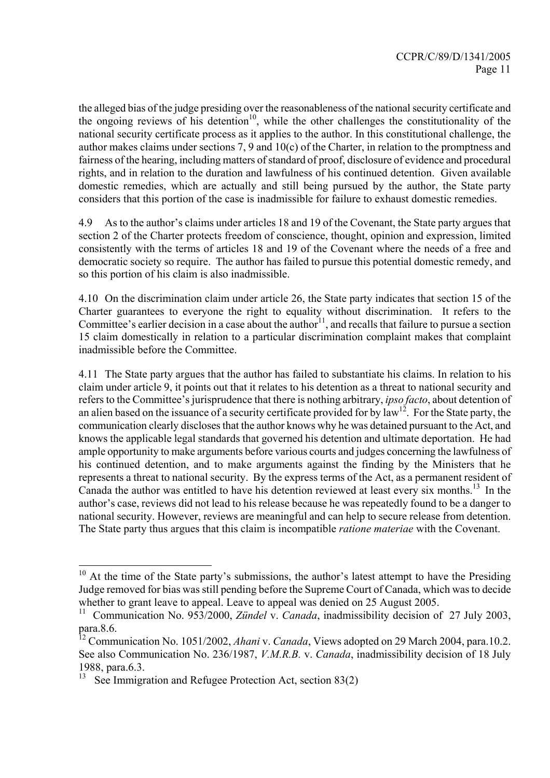the alleged bias of the judge presiding over the reasonableness of the national security certificate and the ongoing reviews of his detention<sup>10</sup>, while the other challenges the constitutionality of the national security certificate process as it applies to the author. In this constitutional challenge, the author makes claims under sections 7, 9 and 10(c) of the Charter, in relation to the promptness and fairness of the hearing, including matters of standard of proof, disclosure of evidence and procedural rights, and in relation to the duration and lawfulness of his continued detention. Given available domestic remedies, which are actually and still being pursued by the author, the State party considers that this portion of the case is inadmissible for failure to exhaust domestic remedies.

4.9 As to the author's claims under articles 18 and 19 of the Covenant, the State party argues that section 2 of the Charter protects freedom of conscience, thought, opinion and expression, limited consistently with the terms of articles 18 and 19 of the Covenant where the needs of a free and democratic society so require. The author has failed to pursue this potential domestic remedy, and so this portion of his claim is also inadmissible.

4.10 On the discrimination claim under article 26, the State party indicates that section 15 of the Charter guarantees to everyone the right to equality without discrimination. It refers to the Committee's earlier decision in a case about the author<sup>11</sup>, and recalls that failure to pursue a section 15 claim domestically in relation to a particular discrimination complaint makes that complaint inadmissible before the Committee.

4.11 The State party argues that the author has failed to substantiate his claims. In relation to his claim under article 9, it points out that it relates to his detention as a threat to national security and refers to the Committee's jurisprudence that there is nothing arbitrary, *ipso facto*, about detention of an alien based on the issuance of a security certificate provided for by  $\int_0^{2\pi}$ . For the State party, the communication clearly discloses that the author knows why he was detained pursuant to the Act, and knows the applicable legal standards that governed his detention and ultimate deportation. He had ample opportunity to make arguments before various courts and judges concerning the lawfulness of his continued detention, and to make arguments against the finding by the Ministers that he represents a threat to national security. By the express terms of the Act, as a permanent resident of Canada the author was entitled to have his detention reviewed at least every six months.<sup>13</sup> In the author's case, reviews did not lead to his release because he was repeatedly found to be a danger to national security. However, reviews are meaningful and can help to secure release from detention. The State party thus argues that this claim is incompatible *ratione materiae* with the Covenant.

l

 $10$  At the time of the State party's submissions, the author's latest attempt to have the Presiding Judge removed for bias was still pending before the Supreme Court of Canada, which was to decide whether to grant leave to appeal. Leave to appeal was denied on 25 August 2005.

<sup>&</sup>lt;sup>11</sup> Communication No. 953/2000, *Zündel* v. *Canada*, inadmissibility decision of 27 July 2003, para.8.6.

<sup>12</sup> Communication No. 1051/2002, *Ahani* v. *Canada*, Views adopted on 29 March 2004, para.10.2. See also Communication No. 236/1987, *V.M.R.B.* v. *Canada*, inadmissibility decision of 18 July 1988, para.6.3.

See Immigration and Refugee Protection Act, section 83(2)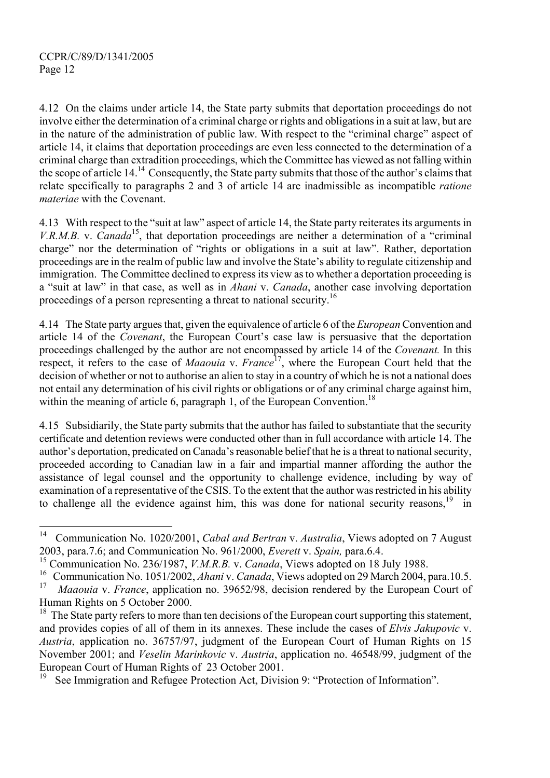4.12 On the claims under article 14, the State party submits that deportation proceedings do not involve either the determination of a criminal charge or rights and obligations in a suit at law, but are in the nature of the administration of public law. With respect to the "criminal charge" aspect of article 14, it claims that deportation proceedings are even less connected to the determination of a criminal charge than extradition proceedings, which the Committee has viewed as not falling within the scope of article 14.<sup>14</sup> Consequently, the State party submits that those of the author's claims that relate specifically to paragraphs 2 and 3 of article 14 are inadmissible as incompatible *ratione materiae* with the Covenant.

4.13 With respect to the "suit at law" aspect of article 14, the State party reiterates its arguments in *V.R.M.B.* v. *Canada*<sup>15</sup>, that deportation proceedings are neither a determination of a "criminal" charge" nor the determination of "rights or obligations in a suit at law". Rather, deportation proceedings are in the realm of public law and involve the State's ability to regulate citizenship and immigration. The Committee declined to express its view as to whether a deportation proceeding is a "suit at law" in that case, as well as in *Ahani* v. *Canada*, another case involving deportation proceedings of a person representing a threat to national security.<sup>16</sup>

4.14 The State party argues that, given the equivalence of article 6 of the *European* Convention and article 14 of the *Covenant*, the European Court's case law is persuasive that the deportation proceedings challenged by the author are not encompassed by article 14 of the *Covenant.* In this respect, it refers to the case of *Maaouia* v. *France*17, where the European Court held that the decision of whether or not to authorise an alien to stay in a country of which he is not a national does not entail any determination of his civil rights or obligations or of any criminal charge against him, within the meaning of article 6, paragraph 1, of the European Convention.<sup>18</sup>

4.15 Subsidiarily, the State party submits that the author has failed to substantiate that the security certificate and detention reviews were conducted other than in full accordance with article 14. The author's deportation, predicated on Canada's reasonable belief that he is a threat to national security, proceeded according to Canadian law in a fair and impartial manner affording the author the assistance of legal counsel and the opportunity to challenge evidence, including by way of examination of a representative of the CSIS. To the extent that the author was restricted in his ability to challenge all the evidence against him, this was done for national security reasons.<sup>19</sup> in

 $14$ 14 Communication No. 1020/2001, *Cabal and Bertran* v. *Australia*, Views adopted on 7 August 2003, para.7.6; and Communication No. 961/2000, *Everett* v. *Spain,* para.6.4.

<sup>15</sup> Communication No. 236/1987, *V.M.R.B.* v. *Canada*, Views adopted on 18 July 1988.

<sup>&</sup>lt;sup>16</sup> Communication No. 1051/2002, *Ahani* v. *Canada*, Views adopted on 29 March 2004, para.10.5.<br><sup>17</sup> Magazia v. France, emplication no. 20652/08, decision rendered by the European Court of

*Maaouia v. France*, application no. 39652/98, decision rendered by the European Court of Human Rights on 5 October 2000.

<sup>&</sup>lt;sup>18</sup> The State party refers to more than ten decisions of the European court supporting this statement, and provides copies of all of them in its annexes. These include the cases of *Elvis Jakupovic* v. *Austria*, application no. 36757/97, judgment of the European Court of Human Rights on 15 November 2001; and *Veselin Marinkovic* v. *Austria*, application no. 46548/99, judgment of the European Court of Human Rights of 23 October 2001.

See Immigration and Refugee Protection Act, Division 9: "Protection of Information".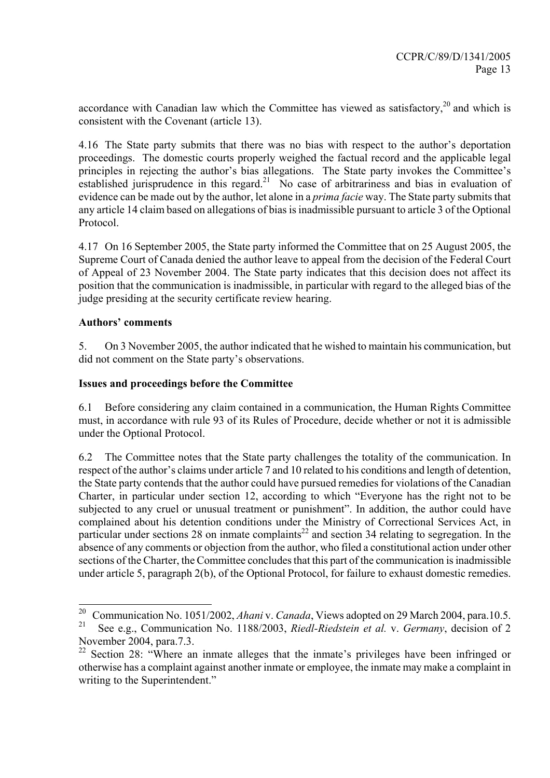accordance with Canadian law which the Committee has viewed as satisfactory.<sup>20</sup> and which is consistent with the Covenant (article 13).

4.16 The State party submits that there was no bias with respect to the author's deportation proceedings. The domestic courts properly weighed the factual record and the applicable legal principles in rejecting the author's bias allegations. The State party invokes the Committee's established jurisprudence in this regard.<sup>21</sup> No case of arbitrariness and bias in evaluation of evidence can be made out by the author, let alone in a *prima facie* way. The State party submits that any article 14 claim based on allegations of bias is inadmissible pursuant to article 3 of the Optional Protocol.

4.17 On 16 September 2005, the State party informed the Committee that on 25 August 2005, the Supreme Court of Canada denied the author leave to appeal from the decision of the Federal Court of Appeal of 23 November 2004. The State party indicates that this decision does not affect its position that the communication is inadmissible, in particular with regard to the alleged bias of the judge presiding at the security certificate review hearing.

### **Authors' comments**

5. On 3 November 2005, the author indicated that he wished to maintain his communication, but did not comment on the State party's observations.

#### **Issues and proceedings before the Committee**

6.1 Before considering any claim contained in a communication, the Human Rights Committee must, in accordance with rule 93 of its Rules of Procedure, decide whether or not it is admissible under the Optional Protocol.

6.2 The Committee notes that the State party challenges the totality of the communication. In respect of the author's claims under article 7 and 10 related to his conditions and length of detention, the State party contends that the author could have pursued remedies for violations of the Canadian Charter, in particular under section 12, according to which "Everyone has the right not to be subjected to any cruel or unusual treatment or punishment". In addition, the author could have complained about his detention conditions under the Ministry of Correctional Services Act, in particular under sections 28 on inmate complaints<sup>22</sup> and section 34 relating to segregation. In the absence of any comments or objection from the author, who filed a constitutional action under other sections of the Charter, the Committee concludes that this part of the communication is inadmissible under article 5, paragraph 2(b), of the Optional Protocol, for failure to exhaust domestic remedies.

 $20\,$ <sup>20</sup> Communication No. 1051/2002, *Ahani* v. *Canada*, Views adopted on 29 March 2004, para.10.5.

<sup>21</sup> See e.g., Communication No. 1188/2003, *Riedl-Riedstein et al.* v. *Germany*, decision of 2 November 2004, para.7.3.

<sup>&</sup>lt;sup>22</sup> Section 28: "Where an inmate alleges that the inmate's privileges have been infringed or otherwise has a complaint against another inmate or employee, the inmate may make a complaint in writing to the Superintendent."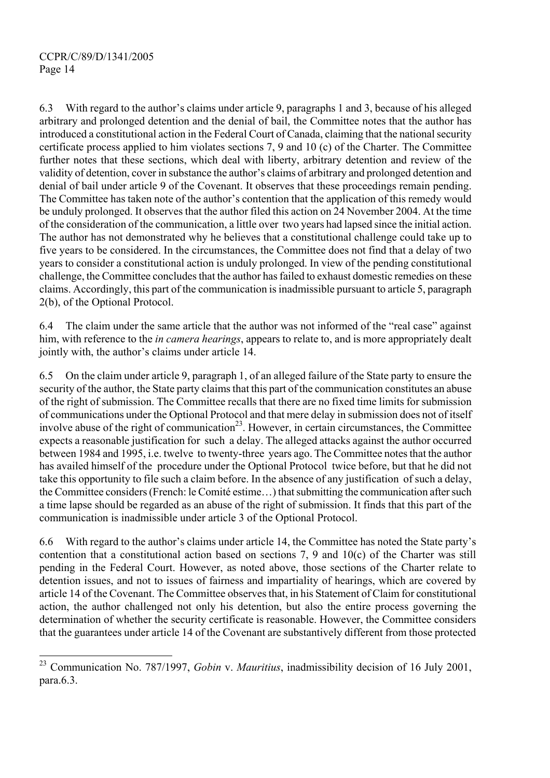l

6.3 With regard to the author's claims under article 9, paragraphs 1 and 3, because of his alleged arbitrary and prolonged detention and the denial of bail, the Committee notes that the author has introduced a constitutional action in the Federal Court of Canada, claiming that the national security certificate process applied to him violates sections 7, 9 and 10 (c) of the Charter. The Committee further notes that these sections, which deal with liberty, arbitrary detention and review of the validity of detention, cover in substance the author's claims of arbitrary and prolonged detention and denial of bail under article 9 of the Covenant. It observes that these proceedings remain pending. The Committee has taken note of the author's contention that the application of this remedy would be unduly prolonged. It observes that the author filed this action on 24 November 2004. At the time of the consideration of the communication, a little over two years had lapsed since the initial action. The author has not demonstrated why he believes that a constitutional challenge could take up to five years to be considered. In the circumstances, the Committee does not find that a delay of two years to consider a constitutional action is unduly prolonged. In view of the pending constitutional challenge, the Committee concludes that the author has failed to exhaust domestic remedies on these claims. Accordingly, this part of the communication is inadmissible pursuant to article 5, paragraph 2(b), of the Optional Protocol.

6.4 The claim under the same article that the author was not informed of the "real case" against him, with reference to the *in camera hearings*, appears to relate to, and is more appropriately dealt jointly with, the author's claims under article 14.

6.5 On the claim under article 9, paragraph 1, of an alleged failure of the State party to ensure the security of the author, the State party claims that this part of the communication constitutes an abuse of the right of submission. The Committee recalls that there are no fixed time limits for submission of communications under the Optional Protocol and that mere delay in submission does not of itself involve abuse of the right of communication<sup>23</sup>. However, in certain circumstances, the Committee expects a reasonable justification for such a delay. The alleged attacks against the author occurred between 1984 and 1995, i.e. twelve to twenty-three years ago. The Committee notes that the author has availed himself of the procedure under the Optional Protocol twice before, but that he did not take this opportunity to file such a claim before. In the absence of any justification of such a delay, the Committee considers (French: le Comité estime…) that submitting the communication after such a time lapse should be regarded as an abuse of the right of submission. It finds that this part of the communication is inadmissible under article 3 of the Optional Protocol.

6.6 With regard to the author's claims under article 14, the Committee has noted the State party's contention that a constitutional action based on sections 7, 9 and 10(c) of the Charter was still pending in the Federal Court. However, as noted above, those sections of the Charter relate to detention issues, and not to issues of fairness and impartiality of hearings, which are covered by article 14 of the Covenant. The Committee observes that, in his Statement of Claim for constitutional action, the author challenged not only his detention, but also the entire process governing the determination of whether the security certificate is reasonable. However, the Committee considers that the guarantees under article 14 of the Covenant are substantively different from those protected

<sup>23</sup> Communication No. 787/1997, *Gobin* v. *Mauritius*, inadmissibility decision of 16 July 2001, para.6.3.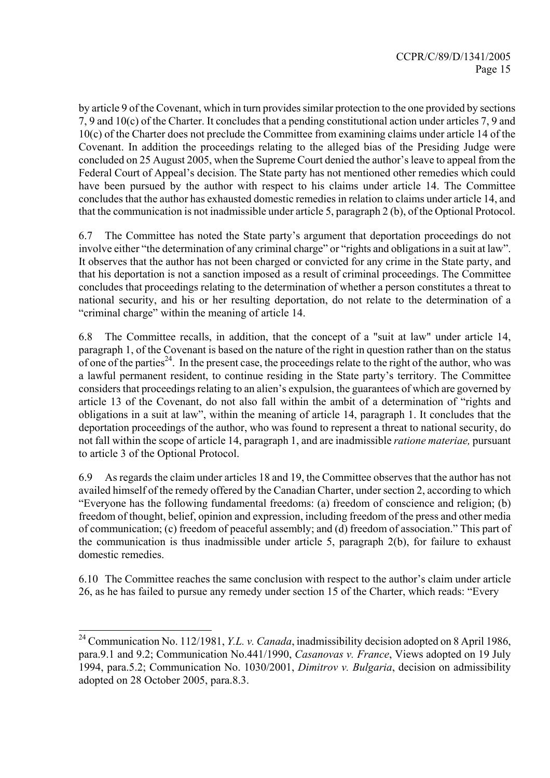by article 9 of the Covenant, which in turn provides similar protection to the one provided by sections 7, 9 and 10(c) of the Charter. It concludes that a pending constitutional action under articles 7, 9 and 10(c) of the Charter does not preclude the Committee from examining claims under article 14 of the Covenant. In addition the proceedings relating to the alleged bias of the Presiding Judge were concluded on 25 August 2005, when the Supreme Court denied the author's leave to appeal from the Federal Court of Appeal's decision. The State party has not mentioned other remedies which could have been pursued by the author with respect to his claims under article 14. The Committee concludes that the author has exhausted domestic remedies in relation to claims under article 14, and that the communication is not inadmissible under article 5, paragraph 2 (b), of the Optional Protocol.

6.7 The Committee has noted the State party's argument that deportation proceedings do not involve either "the determination of any criminal charge" or "rights and obligations in a suit at law". It observes that the author has not been charged or convicted for any crime in the State party, and that his deportation is not a sanction imposed as a result of criminal proceedings. The Committee concludes that proceedings relating to the determination of whether a person constitutes a threat to national security, and his or her resulting deportation, do not relate to the determination of a "criminal charge" within the meaning of article 14.

6.8 The Committee recalls, in addition, that the concept of a "suit at law" under article 14, paragraph 1, of the Covenant is based on the nature of the right in question rather than on the status of one of the parties<sup>24</sup>. In the present case, the proceedings relate to the right of the author, who was a lawful permanent resident, to continue residing in the State party's territory. The Committee considers that proceedings relating to an alien's expulsion, the guarantees of which are governed by article 13 of the Covenant, do not also fall within the ambit of a determination of "rights and obligations in a suit at law", within the meaning of article 14, paragraph 1. It concludes that the deportation proceedings of the author, who was found to represent a threat to national security, do not fall within the scope of article 14, paragraph 1, and are inadmissible *ratione materiae,* pursuant to article 3 of the Optional Protocol.

6.9 As regards the claim under articles 18 and 19, the Committee observes that the author has not availed himself of the remedy offered by the Canadian Charter, under section 2, according to which "Everyone has the following fundamental freedoms: (a) freedom of conscience and religion; (b) freedom of thought, belief, opinion and expression, including freedom of the press and other media of communication; (c) freedom of peaceful assembly; and (d) freedom of association." This part of the communication is thus inadmissible under article 5, paragraph 2(b), for failure to exhaust domestic remedies.

6.10 The Committee reaches the same conclusion with respect to the author's claim under article 26, as he has failed to pursue any remedy under section 15 of the Charter, which reads: "Every

l

<sup>24</sup> Communication No. 112/1981, *Y.L. v. Canada*, inadmissibility decision adopted on 8 April 1986, para.9.1 and 9.2; Communication No.441/1990, *Casanovas v. France*, Views adopted on 19 July 1994, para.5.2; Communication No. 1030/2001, *Dimitrov v. Bulgaria*, decision on admissibility adopted on 28 October 2005, para.8.3.